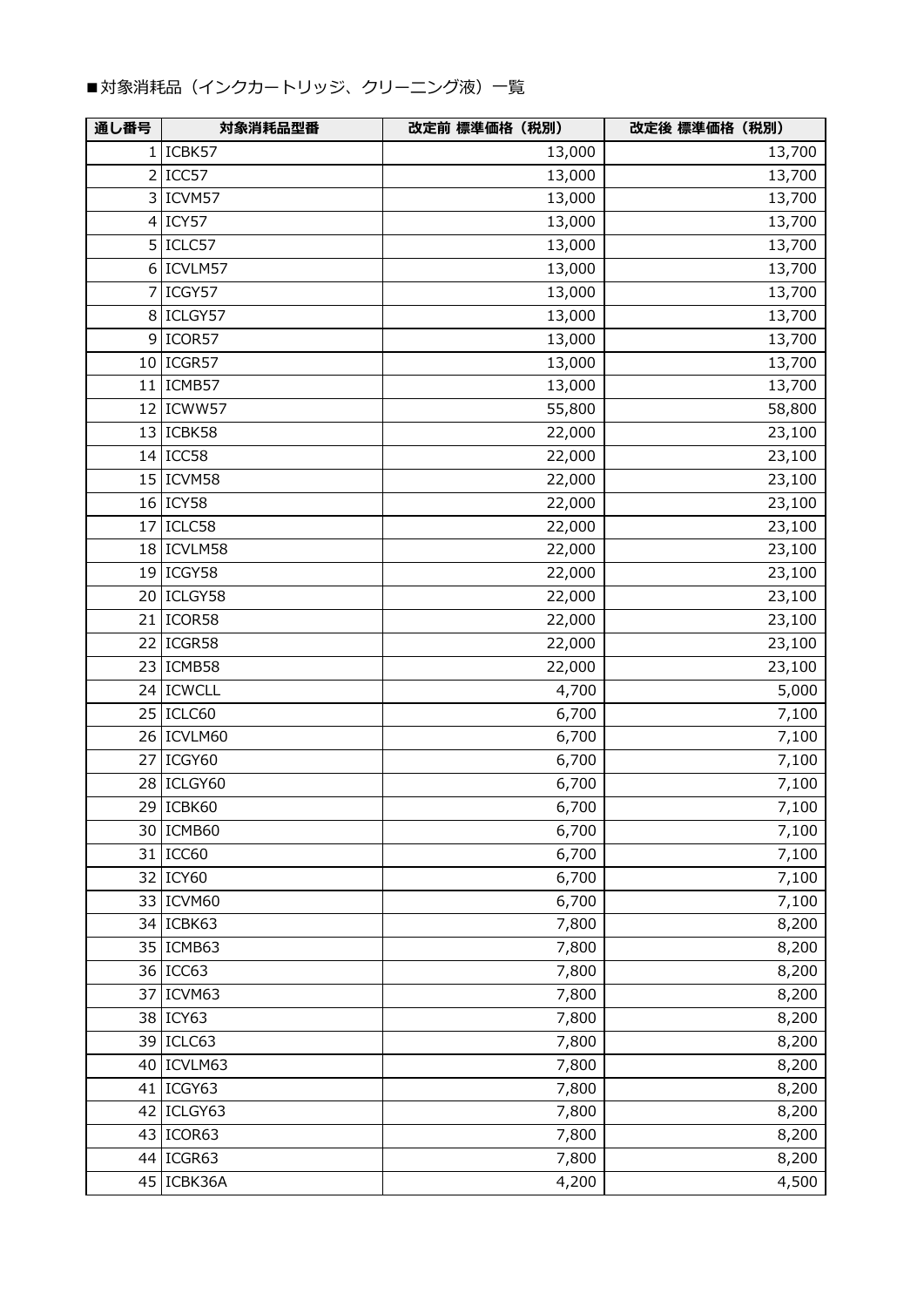## ■対象消耗品(インクカートリッジ、クリーニング液)一覧

| 通し番号 | 対象消耗品型番      | 改定前 標準価格 (税別) | 改定後 標準価格 (税別) |
|------|--------------|---------------|---------------|
|      | $1$  ICBK57  | 13,000        | 13,700        |
|      | 2 ICC57      | 13,000        | 13,700        |
|      | 3 ICVM57     | 13,000        | 13,700        |
|      | $4$ ICY57    | 13,000        | 13,700        |
|      | 5 ICLC57     | 13,000        | 13,700        |
|      | 6 ICVLM57    | 13,000        | 13,700        |
|      | 7 ICGY57     | 13,000        | 13,700        |
|      | 8 ICLGY57    | 13,000        | 13,700        |
|      | 9 ICOR57     | 13,000        | 13,700        |
|      | $10$ ICGR57  | 13,000        | 13,700        |
|      | $11$  ICMB57 | 13,000        | 13,700        |
|      | 12 ICWW57    | 55,800        | 58,800        |
|      | 13 ICBK58    | 22,000        | 23,100        |
|      | $14$ ICC58   | 22,000        | 23,100        |
|      | 15 ICVM58    | 22,000        | 23,100        |
|      | 16 ICY58     | 22,000        | 23,100        |
|      | $17$ ICLC58  | 22,000        | 23,100        |
|      | 18 ICVLM58   | 22,000        | 23,100        |
|      | 19 ICGY58    | 22,000        | 23,100        |
|      | 20 ICLGY58   | 22,000        | 23,100        |
|      | 21   ICOR58  | 22,000        | 23,100        |
|      | 22 ICGR58    | 22,000        | 23,100        |
|      | 23   ICMB58  | 22,000        | 23,100        |
|      | 24 ICWCLL    | 4,700         | 5,000         |
|      | 25   ICLC60  | 6,700         | 7,100         |
|      | 26   ICVLM60 | 6,700         | 7,100         |
|      | 27 ICGY60    | 6,700         | 7,100         |
|      | 28 ICLGY60   | 6,700         | 7,100         |
|      | 29 ICBK60    | 6,700         | 7,100         |
|      | 30   ICMB60  | 6,700         | 7,100         |
|      | 31 ICC60     | 6,700         | 7,100         |
|      | 32 ICY60     | 6,700         | 7,100         |
|      | 33 ICVM60    | 6,700         | 7,100         |
|      | 34 ICBK63    | 7,800         | 8,200         |
|      | 35 ICMB63    | 7,800         | 8,200         |
|      | 36 ICC63     | 7,800         | 8,200         |
|      | 37 ICVM63    | 7,800         | 8,200         |
|      | 38 ICY63     | 7,800         | 8,200         |
|      | 39   ICLC63  | 7,800         | 8,200         |
|      | 40   ICVLM63 | 7,800         | 8,200         |
|      | 41   ICGY63  | 7,800         | 8,200         |
|      | 42 ICLGY63   | 7,800         | 8,200         |
|      | 43   ICOR63  | 7,800         | 8,200         |
|      | 44 ICGR63    | 7,800         | 8,200         |
|      | 45   ICBK36A | 4,200         | 4,500         |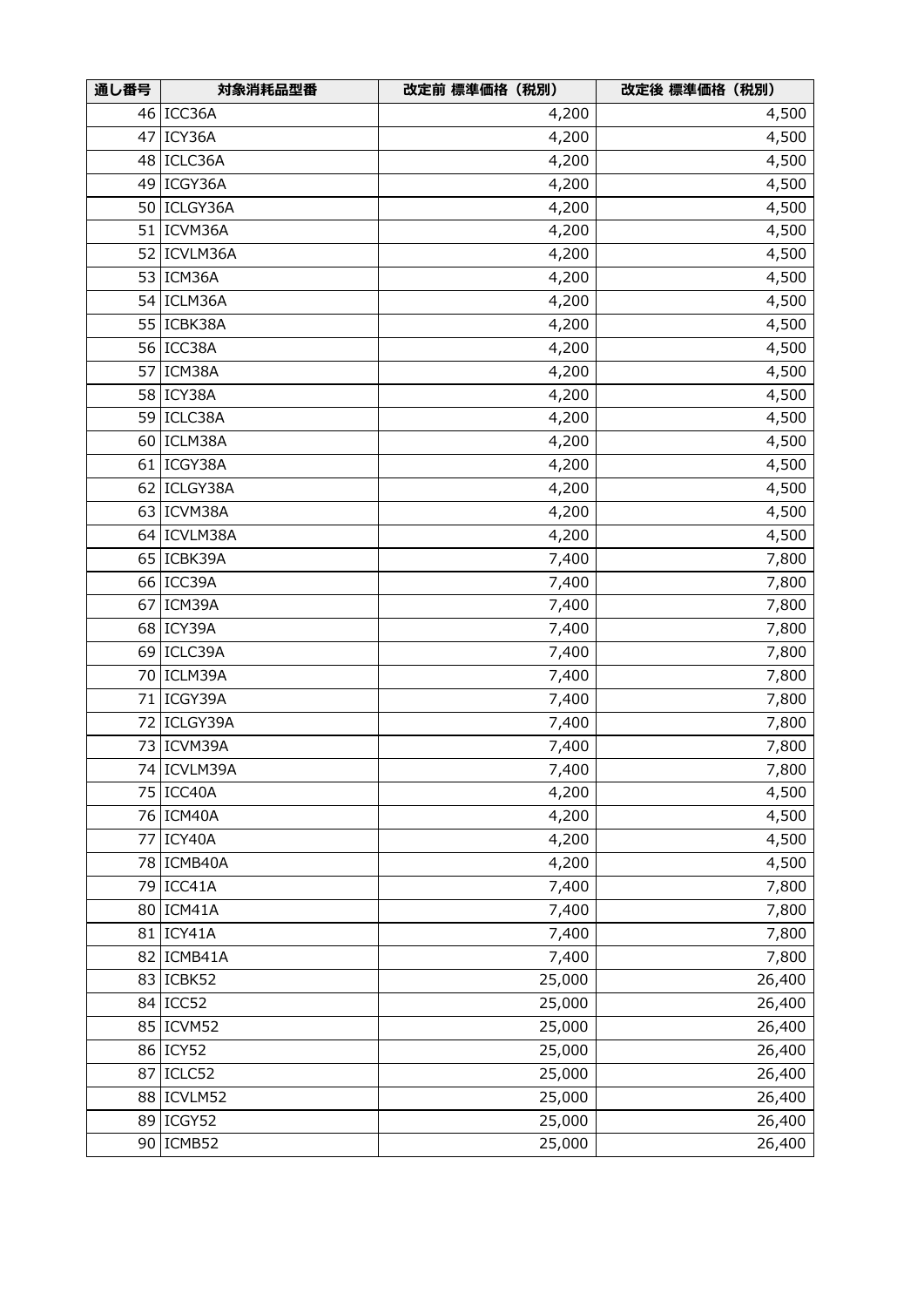| 通し番号 | 対象消耗品型番       | 改定前 標準価格 (税別) | 改定後 標準価格 (税別) |
|------|---------------|---------------|---------------|
|      | 46 ICC36A     | 4,200         | 4,500         |
| 47   | ICY36A        | 4,200         | 4,500         |
| 48   | ICLC36A       | 4,200         | 4,500         |
| 49   | ICGY36A       | 4,200         | 4,500         |
| 50   | ICLGY36A      | 4,200         | 4,500         |
| 51   | ICVM36A       | 4,200         | 4,500         |
| 52   | ICVLM36A      | 4,200         | 4,500         |
| 53   | ICM36A        | 4,200         | 4,500         |
| 54   | ICLM36A       | 4,200         | 4,500         |
| 55   | ICBK38A       | 4,200         | 4,500         |
|      | 56 ICC38A     | 4,200         | 4,500         |
| 57   | ICM38A        | 4,200         | 4,500         |
| 58   | ICY38A        | 4,200         | 4,500         |
| 59   | ICLC38A       | 4,200         | 4,500         |
| 60   | ICLM38A       | 4,200         | 4,500         |
|      | 61 ICGY38A    | 4,200         | 4,500         |
| 62   | ICLGY38A      | 4,200         | 4,500         |
| 63   | ICVM38A       | 4,200         | 4,500         |
| 64   | ICVLM38A      | 4,200         | 4,500         |
| 65   | ICBK39A       | 7,400         | 7,800         |
|      | 66 ICC39A     | 7,400         | 7,800         |
| 67   | ICM39A        | 7,400         | 7,800         |
| 68   | ICY39A        | 7,400         | 7,800         |
| 69   | ICLC39A       | 7,400         | 7,800         |
|      | 70   ICLM39A  | 7,400         | 7,800         |
| 71   | ICGY39A       | 7,400         | 7,800         |
|      | 72   ICLGY39A | 7,400         | 7,800         |
|      | 73 ICVM39A    | 7,400         | 7,800         |
|      | 74 ICVLM39A   | 7,400         | 7,800         |
|      | 75 ICC40A     | 4,200         | 4,500         |
|      | 76 ICM40A     | 4,200         | 4,500         |
|      | 77 ICY40A     | 4,200         | 4,500         |
|      | 78   ICMB40A  | 4,200         | 4,500         |
|      | 79 ICC41A     | 7,400         | 7,800         |
|      | 80 ICM41A     | 7,400         | 7,800         |
|      | 81   ICY41A   | 7,400         | 7,800         |
|      | 82   ICMB41A  | 7,400         | 7,800         |
|      | 83   ICBK52   | 25,000        | 26,400        |
|      | 84 ICC52      | 25,000        | 26,400        |
|      | 85 ICVM52     | 25,000        | 26,400        |
|      | 86 ICY52      | 25,000        | 26,400        |
| 87   | ICLC52        | 25,000        | 26,400        |
| 88   | ICVLM52       | 25,000        | 26,400        |
| 89   | ICGY52        | 25,000        | 26,400        |
| 90   | ICMB52        | 25,000        | 26,400        |